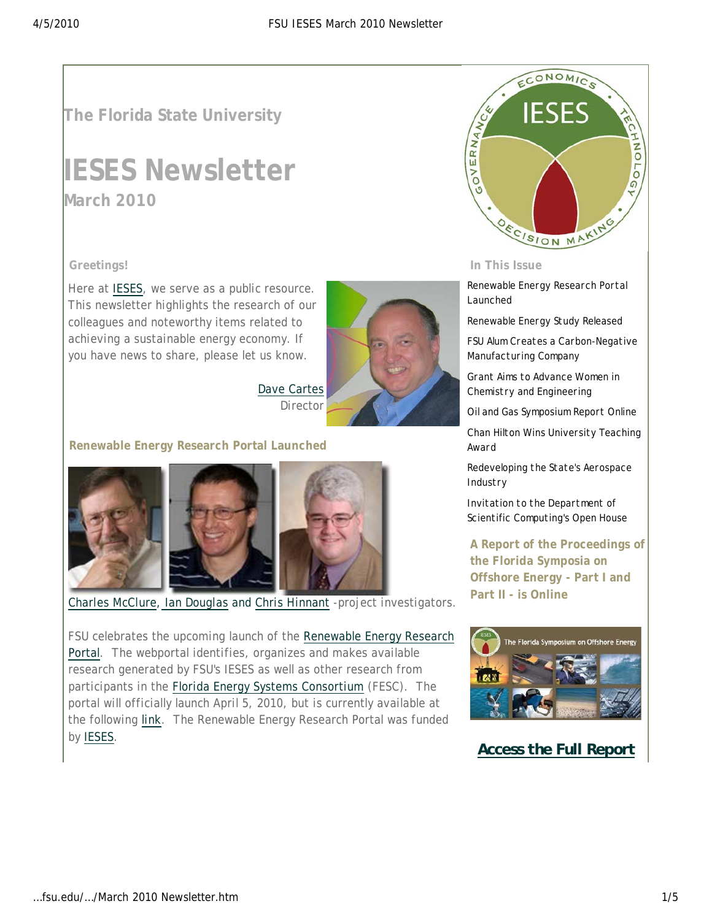# **The Florida State University**

# **IESES Newsletter March 2010**

#### **Greetings!**

Here at IESES, we serve as a public resource. This newsletter highlights the research of our colleagues and noteworthy items related to achieving a sustainable energy economy. If you have news to share, please let us know.



Dave Cartes Director

#### **Renewable Energy Research Portal Launched**



*Charles McClure*, *Ian Douglas* and *Chris Hinnant* -project investigators.

FSU celebrates the upcoming launch of the Renewable Energy Research Portal. The webportal identifies, organizes and makes available research generated by FSU's IESES as well as other research from participants in the Florida Energy Systems Consortium (FESC). The portal will officially launch April 5, 2010, but is currently available at the following link. The Renewable Energy Research Portal was funded by IESES.



#### **In This Issue**

Renewable Energy Research Portal Launched

Renewable Energy Study Released

FSU Alum Creates a Carbon-Negative Manufacturing Company

Grant Aims to Advance Women in Chemistry and Engineering

Oil and Gas Symposium Report Online

Chan Hilton Wins University Teaching Award

Redeveloping the State's Aerospace Industry

Invitation to the Department of Scientific Computing's Open House

**A Report of the Proceedings of the Florida Symposia on Offshore Energy - Part I and Part II - is Online**



# *Access the Full Report*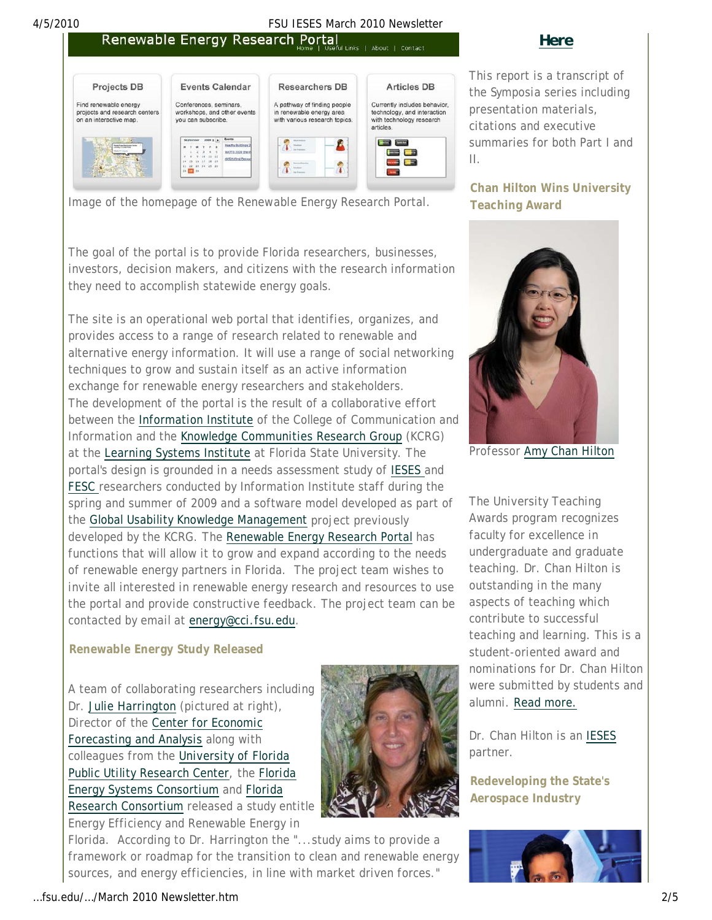# **4/5/2010**<br>**Renewable Energy Research Portal**<br>*Fore* | Useful Links | About | Contact

## *Here*



*Image of the homepage of the Renewable Energy Research Portal.* 

The goal of the portal is to provide Florida researchers, businesses, investors, decision makers, and citizens with the research information they need to accomplish statewide energy goals.

The site is an operational web portal that identifies, organizes, and provides access to a range of research related to renewable and alternative energy information. It will use a range of social networking techniques to grow and sustain itself as an active information exchange for renewable energy researchers and stakeholders. The development of the portal is the result of a collaborative effort between the Information Institute of the College of Communication and Information and the Knowledge Communities Research Group (KCRG) at the Learning Systems Institute at Florida State University. The portal's design is grounded in a needs assessment study of IESES and FESC researchers conducted by Information Institute staff during the spring and summer of 2009 and a software model developed as part of the Global Usability Knowledge Management project previously developed by the KCRG. The Renewable Energy Research Portal has functions that will allow it to grow and expand according to the needs of renewable energy partners in Florida. The project team wishes to invite all interested in renewable energy research and resources to use the portal and provide constructive feedback. The project team can be contacted by email at energy@cci.fsu.edu.

#### **Renewable Energy Study Released**

A team of collaborating researchers including Dr. Julie Harrington (pictured at right), Director of the Center for Economic Forecasting and Analysis along with colleagues from the University of Florida Public Utility Research Center, the Florida Energy Systems Consortium and Florida Research Consortium released a study entitle



sources, and energy efficiencies, in line with market driven forces."



…fsu.edu/…/March 2010 Newsletter.htm 2/5

*This report is a transcript of the Symposia series including presentation materials, citations and executive summaries for both Part I and II.* 

### **Chan Hilton Wins University Teaching Award**



Professor Amy Chan Hilton

The University Teaching Awards program recognizes faculty for excellence in undergraduate and graduate teaching. Dr. Chan Hilton is outstanding in the many aspects of teaching which contribute to successful teaching and learning. This is a student-oriented award and nominations for Dr. Chan Hilton were submitted by students and alumni. Read more.

Dr. Chan Hilton is an IESES partner.

**Redeveloping the State's Aerospace Industry**

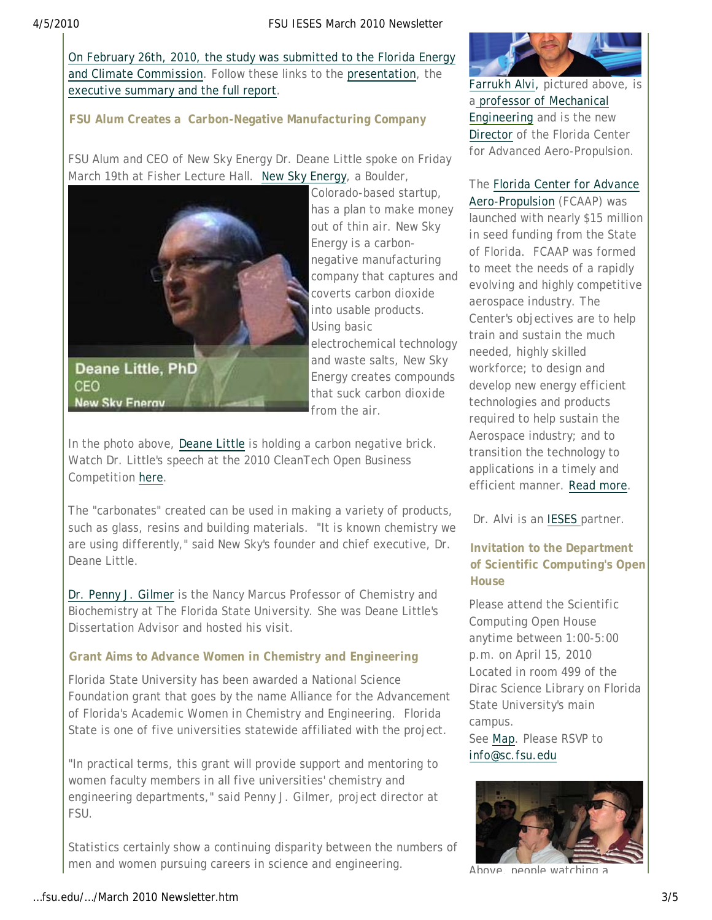#### 4/5/2010 FSU IESES March 2010 Newsletter

On February 26th, 2010, the study was submitted to the Florida Energy and Climate Commission. Follow these links to the presentation, the executive summary and the full report.

### **FSU Alum Creates a Carbon-Negative Manufacturing Company**

FSU Alum and CEO of New Sky Energy Dr. Deane Little spoke on Friday March 19th at Fisher Lecture Hall. New Sky Energy, a Boulder,



Colorado-based startup, has a plan to make money out of thin air. New Sky Energy is a carbonnegative manufacturing company that captures and coverts carbon dioxide into usable products. Using basic electrochemical technology and waste salts, New Sky Energy creates compounds that suck carbon dioxide from the air.

In the photo above, Deane Little is holding a carbon negative brick. Watch Dr. Little's speech at the 2010 CleanTech Open Business Competition here.

The "carbonates" created can be used in making a variety of products, such as glass, resins and building materials. "It is known chemistry we are using differently," said New Sky's founder and chief executive, Dr. Deane Little.

Dr. Penny J. Gilmer is the Nancy Marcus Professor of Chemistry and Biochemistry at The Florida State University. She was Deane Little's Dissertation Advisor and hosted his visit.

#### **Grant Aims to Advance Women in Chemistry and Engineering**

Florida State University has been awarded a National Science Foundation grant that goes by the name Alliance for the Advancement of Florida's Academic Women in Chemistry and Engineering. Florida State is one of five universities statewide affiliated with the project.

"In practical terms, this grant will provide support and mentoring to women faculty members in all five universities' chemistry and engineering departments," said Penny J. Gilmer, project director at FSU.

Statistics certainly show a continuing disparity between the numbers of men and women pursuing careers in science and engineering.



Farrukh Alvi, pictured above, is a professor of Mechanical Engineering and is the new Director of the Florida Center for Advanced Aero-Propulsion.

# The Florida Center for Advance

Aero-Propulsion (FCAAP) was launched with nearly \$15 million in seed funding from the State of Florida. FCAAP was formed to meet the needs of a rapidly evolving and highly competitive aerospace industry. The Center's objectives are to help train and sustain the much needed, highly skilled workforce; to design and develop new energy efficient technologies and products required to help sustain the Aerospace industry; and to transition the technology to applications in a timely and efficient manner. Read more.

Dr. Alvi is an IESES partner.

### **Invitation to the Department of Scientific Computing's Open House**

Please attend the Scientific Computing Open House anytime between 1:00-5:00 p.m. on April 15, 2010 Located in room 499 of the Dirac Science Library on Florida State University's main campus. See *Map*. Please RSVP to *info@sc.fsu.edu*



Above, people watching a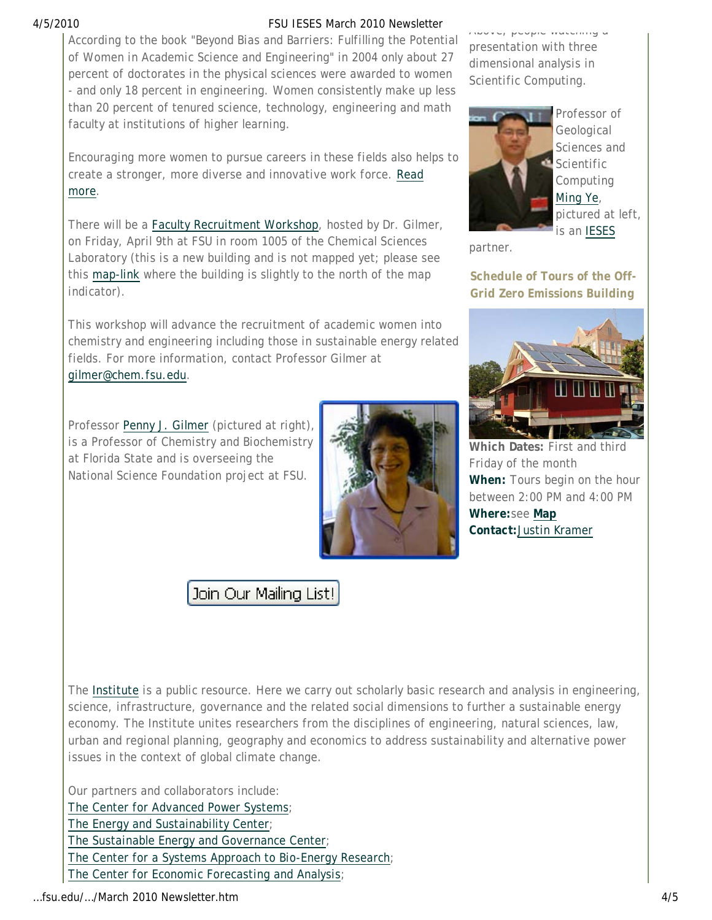#### 4/5/2010 FSU IESES March 2010 Newsletter

According to the book "Beyond Bias and Barriers: Fulfilling the Potential of Women in Academic Science and Engineering" in 2004 only about 27 percent of doctorates in the physical sciences were awarded to women - and only 18 percent in engineering. Women consistently make up less than 20 percent of tenured science, technology, engineering and math faculty at institutions of higher learning.

Encouraging more women to pursue careers in these fields also helps to create a stronger, more diverse and innovative work force. Read more.

There will be a Faculty Recruitment Workshop, hosted by Dr. Gilmer, on Friday, April 9th at FSU in room 1005 of the Chemical Sciences Laboratory (this is a new building and is not mapped yet; please see this map-link where the building is slightly to the north of the map indicator).

This workshop will advance the recruitment of academic women into chemistry and engineering including those in sustainable energy related fields. For more information, contact Professor Gilmer at gilmer@chem.fsu.edu.

Professor Penny J. Gilmer (pictured at right), is a Professor of Chemistry and Biochemistry at Florida State and is overseeing the National Science Foundation project at FSU.



# Join Our Mailing List!

Above, people watching a presentation with three dimensional analysis in Scientific Computing.



Professor of Geological Sciences and Scientific **Computing** Ming Ye, pictured at left, is an IESES

partner.

**Schedule of Tours of the Off-Grid Zero Emissions Building**



**Which Dates:** First and third Friday of the month **When:** Tours begin on the hour between 2:00 PM and 4:00 PM **Where:**see **Map Contact:**Justin Kramer

The *Institute* is a public resource. Here we carry out scholarly basic research and analysis in engineering, science, infrastructure, governance and the related social dimensions to further a sustainable energy economy. The Institute unites researchers from the disciplines of engineering, natural sciences, law, urban and regional planning, geography and economics to address sustainability and alternative power issues in the context of global climate change.

Our partners and collaborators include:

The Center for Advanced Power Systems;

The Energy and Sustainability Center;

The Sustainable Energy and Governance Center;

The Center for a Systems Approach to Bio-Energy Research;

The Center for Economic Forecasting and Analysis;

…fsu.edu/…/March 2010 Newsletter.htm 4/5